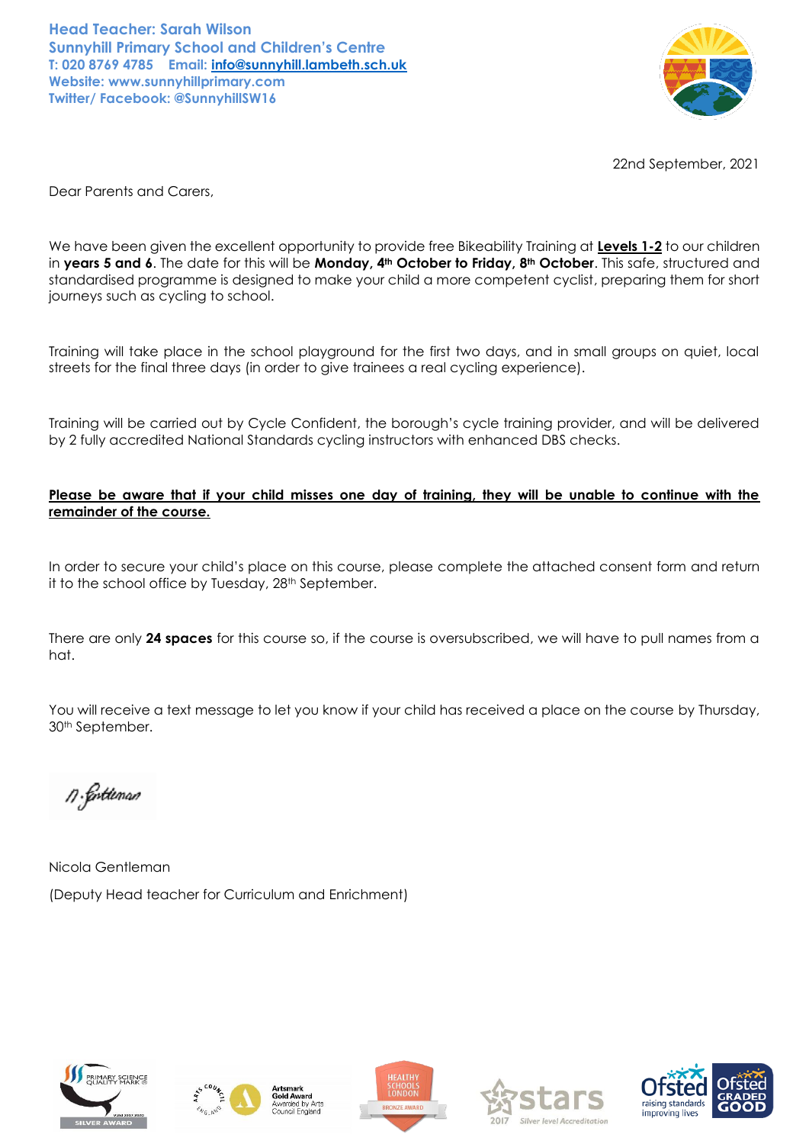**Head Teacher: Sarah Wilson Sunnyhill Primary School and Children's Centre T: 020 8769 4785 Email: [info@sunnyhill.lambeth.sch.uk](mailto:info@sunnyhill.lambeth.sch.uk) Website: www.sunnyhillprimary.com Twitter/ Facebook: @SunnyhillSW16**



22nd September, 2021

Dear Parents and Carers,

We have been given the excellent opportunity to provide free Bikeability Training at **Levels 1-2** to our children in **years 5 and 6**. The date for this will be **Monday, 4th October to Friday, 8th October**. This safe, structured and standardised programme is designed to make your child a more competent cyclist, preparing them for short journeys such as cycling to school.

Training will take place in the school playground for the first two days, and in small groups on quiet, local streets for the final three days (in order to give trainees a real cycling experience).

Training will be carried out by Cycle Confident, the borough's cycle training provider, and will be delivered by 2 fully accredited National Standards cycling instructors with enhanced DBS checks.

### **Please be aware that if your child misses one day of training, they will be unable to continue with the remainder of the course.**

In order to secure your child's place on this course, please complete the attached consent form and return it to the school office by Tuesday, 28<sup>th</sup> September.

There are only **24 spaces** for this course so, if the course is oversubscribed, we will have to pull names from a hat.

You will receive a text message to let you know if your child has received a place on the course by Thursday, 30th September.

n. Cortúnan

Nicola Gentleman (Deputy Head teacher for Curriculum and Enrichment)









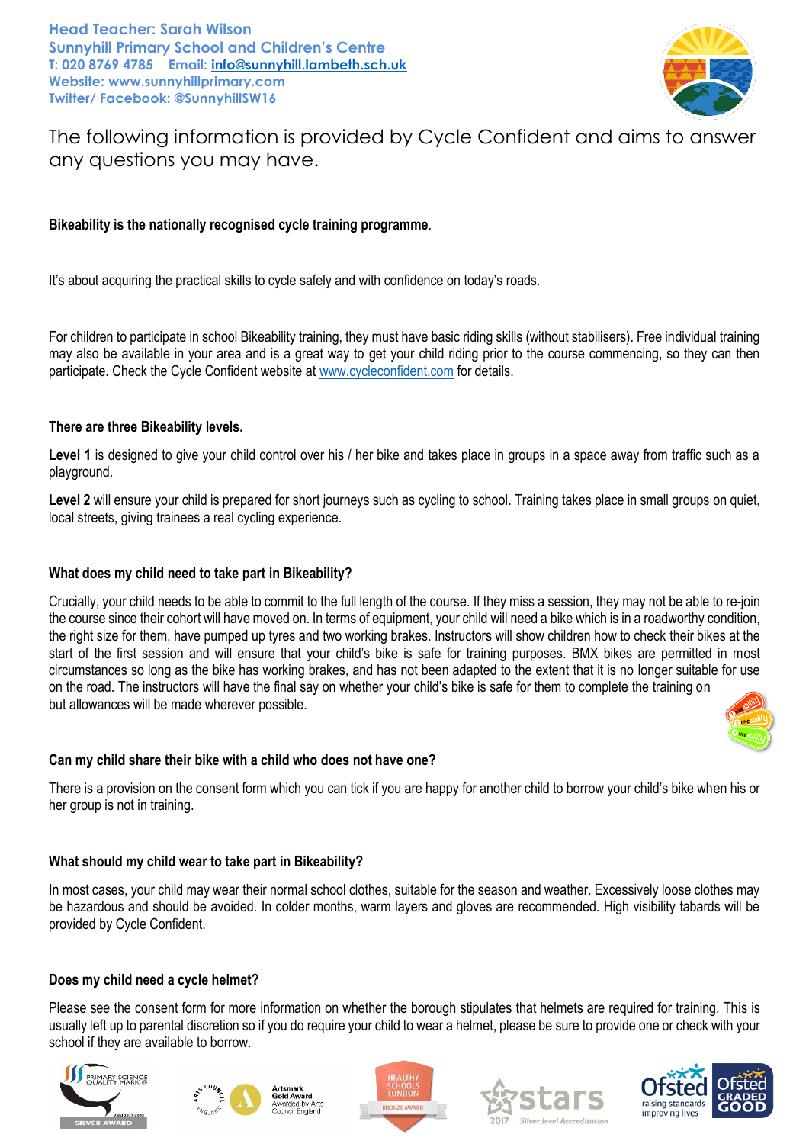**Head Teacher: Sarah Wilson Sunnyhill Primary School and Children's Centre T: 020 8769 4785 Email: [info@sunnyhill.lambeth.sch.uk](mailto:info@sunnyhill.lambeth.sch.uk) Website: www.sunnyhillprimary.com Twitter/ Facebook: @SunnyhillSW16**



The following information is provided by Cycle Confident and aims to answer any questions you may have.

# **Bikeability is the nationally recognised cycle training programme**.

It's about acquiring the practical skills to cycle safely and with confidence on today's roads.

For children to participate in school Bikeability training, they must have basic riding skills (without stabilisers). Free individual training may also be available in your area and is a great way to get your child riding prior to the course commencing, so they can then participate. Check the Cycle Confident website at [www.cycleconfident.com](http://www.cycleconfident.com/) for details.

### **There are three Bikeability levels.**

Level 1 is designed to give your child control over his / her bike and takes place in groups in a space away from traffic such as a playground.

Level 2 will ensure your child is prepared for short journeys such as cycling to school. Training takes place in small groups on quiet, local streets, giving trainees a real cycling experience.

#### **What does my child need to take part in Bikeability?**

Crucially, your child needs to be able to commit to the full length of the course. If they miss a session, they may not be able to re-join the course since their cohort will have moved on. In terms of equipment, your child will need a bike which is in a roadworthy condition, the right size for them, have pumped up tyres and two working brakes. Instructors will show children how to check their bikes at the start of the first session and will ensure that your child's bike is safe for training purposes. BMX bikes are permitted in most circumstances so long as the bike has working brakes, and has not been adapted to the extent that it is no longer suitable for use on the road. The instructors will have the final say on whether your child's bike is safe for them to complete the training on but allowances will be made wherever possible.



### **Can my child share their bike with a child who does not have one?**

There is a provision on the consent form which you can tick if you are happy for another child to borrow your child's bike when his or her group is not in training.

### **What should my child wear to take part in Bikeability?**

In most cases, your child may wear their normal school clothes, suitable for the season and weather. Excessively loose clothes may be hazardous and should be avoided. In colder months, warm layers and gloves are recommended. High visibility tabards will be provided by Cycle Confident.

### **Does my child need a cycle helmet?**

Please see the consent form for more information on whether the borough stipulates that helmets are required for training. This is usually left up to parental discretion so if you do require your child to wear a helmet, please be sure to provide one or check with your school if they are available to borrow.





Council England